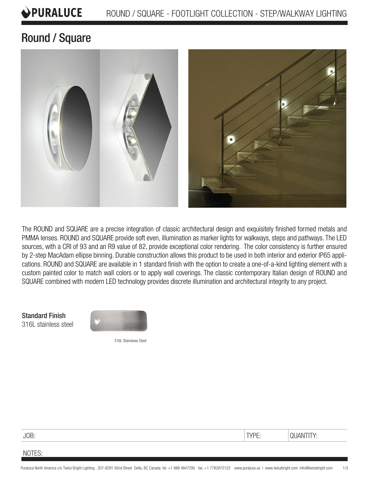#### PURALUCE ROUND / SQUARE - FOOTLIGHT COLLECTION - STEP/WALKWAY LIGHTING

# Round / Square



The ROUND and SQUARE are a precise integration of classic architectural design and exquisitely finished formed metals and PMMA lenses. ROUND and SQUARE provide soft even, illumination as marker lights for walkways, steps and pathways. The LED sources, with a CRI of 93 and an R9 value of 82, provide exceptional color rendering. The color consistency is further ensured by 2-step MacAdam ellipse binning. Durable construction allows this product to be used in both interior and exterior IP65 applications. ROUND and SQUARE are available in 1 standard finish with the option to create a one-of-a-kind lighting element with a custom painted color to match wall colors or to apply wall coverings. The classic contemporary Italian design of ROUND and SQUARE combined with modern LED technology provides discrete illumination and architectural integrity to any project.

Standard Finish 316L stainless steel



316L Staineless Steel

| - - - - | -- |  |
|---------|----|--|
|         |    |  |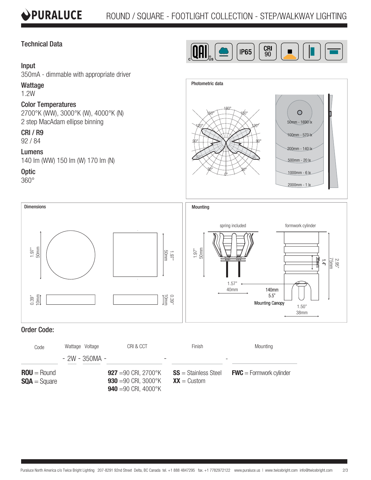# Technical Data

### Input

350mA - dimmable with appropriate driver

#### Wattage

1.2W

## Color Temperatures

2700°K (WW), 3000°K (W), 4000°K (N) 2 step MacAdam ellipse binning

# CRI / R9

92 / 84

#### Lumens

140 lm (WW) 150 lm (W) 170 lm (N)

# **Optic**

360°